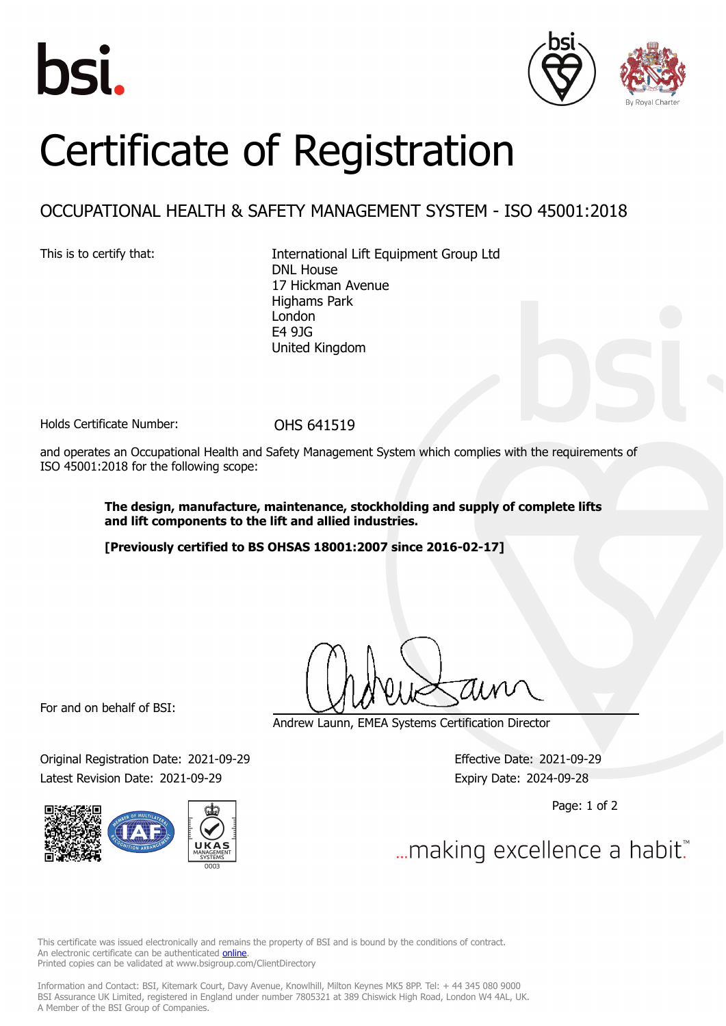





## Certificate of Registration

## OCCUPATIONAL HEALTH & SAFETY MANAGEMENT SYSTEM - ISO 45001:2018

This is to certify that: International Lift Equipment Group Ltd DNL House 17 Hickman Avenue Highams Park London E4 9JG United Kingdom

Holds Certificate Number: 0HS 641519

and operates an Occupational Health and Safety Management System which complies with the requirements of ISO 45001:2018 for the following scope:

> **The design, manufacture, maintenance, stockholding and supply of complete lifts and lift components to the lift and allied industries.**

**[Previously certified to BS OHSAS 18001:2007 since 2016-02-17]**

For and on behalf of BSI:

Original Registration Date: 2021-09-29 Effective Date: 2021-09-29 Latest Revision Date: 2021-09-29 Expiry Date: 2024-09-28



Andrew Launn, EMEA Systems Certification Director

Page: 1 of 2

... making excellence a habit.

This certificate was issued electronically and remains the property of BSI and is bound by the conditions of contract. An electronic certificate can be authenticated **[online](https://pgplus.bsigroup.com/CertificateValidation/CertificateValidator.aspx?CertificateNumber=OHS+641519&ReIssueDate=29%2f09%2f2021&Template=uk)** Printed copies can be validated at www.bsigroup.com/ClientDirectory

Information and Contact: BSI, Kitemark Court, Davy Avenue, Knowlhill, Milton Keynes MK5 8PP. Tel: + 44 345 080 9000 BSI Assurance UK Limited, registered in England under number 7805321 at 389 Chiswick High Road, London W4 4AL, UK. A Member of the BSI Group of Companies.